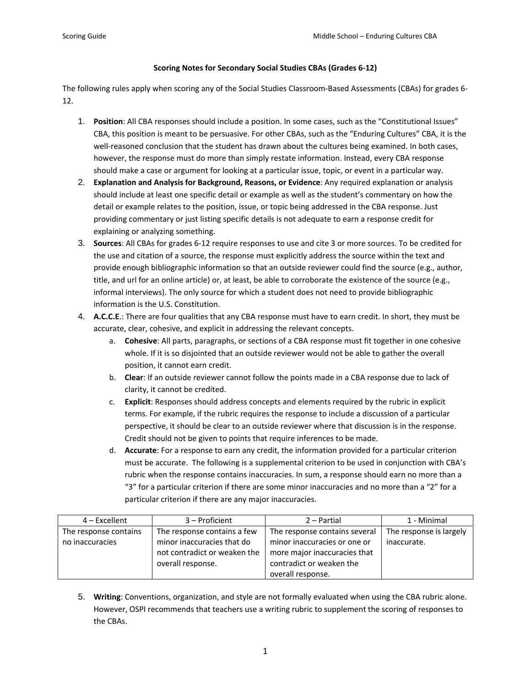## **Scoring Notes for Secondary Social Studies CBAs (Grades 6‐12)**

The following rules apply when scoring any of the Social Studies Classroom‐Based Assessments (CBAs) for grades 6‐ 12.

- 1. **Position**: All CBA responses should include a position. In some cases, such as the "Constitutional Issues" CBA, this position is meant to be persuasive. For other CBAs, such as the "Enduring Cultures" CBA, it is the well-reasoned conclusion that the student has drawn about the cultures being examined. In both cases, however, the response must do more than simply restate information. Instead, every CBA response should make a case or argument for looking at a particular issue, topic, or event in a particular way.
- 2. **Explanation and Analysis for Background, Reasons, or Evidence**: Any required explanation or analysis should include at least one specific detail or example as well as the student's commentary on how the detail or example relates to the position, issue, or topic being addressed in the CBA response. Just providing commentary or just listing specific details is not adequate to earn a response credit for explaining or analyzing something.
- 3. **Sources**: All CBAs for grades 6‐12 require responses to use and cite 3 or more sources. To be credited for the use and citation of a source, the response must explicitly address the source within the text and provide enough bibliographic information so that an outside reviewer could find the source (e.g., author, title, and url for an online article) or, at least, be able to corroborate the existence of the source (e.g., informal interviews). The only source for which a student does not need to provide bibliographic information is the U.S. Constitution.
- 4. **A.C.C.E**.: There are four qualities that any CBA response must have to earn credit. In short, they must be accurate, clear, cohesive, and explicit in addressing the relevant concepts.
	- a. **Cohesive**: All parts, paragraphs, or sections of a CBA response must fit together in one cohesive whole. If it is so disjointed that an outside reviewer would not be able to gather the overall position, it cannot earn credit.
	- b. **Clear**: If an outside reviewer cannot follow the points made in a CBA response due to lack of clarity, it cannot be credited.
	- c. **Explicit**: Responses should address concepts and elements required by the rubric in explicit terms. For example, if the rubric requires the response to include a discussion of a particular perspective, it should be clear to an outside reviewer where that discussion is in the response. Credit should not be given to points that require inferences to be made.
	- d. **Accurate**: For a response to earn any credit, the information provided for a particular criterion must be accurate. The following is a supplemental criterion to be used in conjunction with CBA's rubric when the response contains inaccuracies. In sum, a response should earn no more than a "3" for a particular criterion if there are some minor inaccuracies and no more than a "2" for a particular criterion if there are any major inaccuracies.

| $4$ – Excellent       | 3 – Proficient               | $2 -$ Partial                 | 1 - Minimal             |
|-----------------------|------------------------------|-------------------------------|-------------------------|
| The response contains | The response contains a few  | The response contains several | The response is largely |
| no inaccuracies       | minor inaccuracies that do   | minor inaccuracies or one or  | inaccurate.             |
|                       | not contradict or weaken the | more major inaccuracies that  |                         |
|                       | overall response.            | contradict or weaken the      |                         |
|                       |                              | overall response.             |                         |

5. **Writing**: Conventions, organization, and style are not formally evaluated when using the CBA rubric alone. However, OSPI recommends that teachers use a writing rubric to supplement the scoring of responses to the CBAs.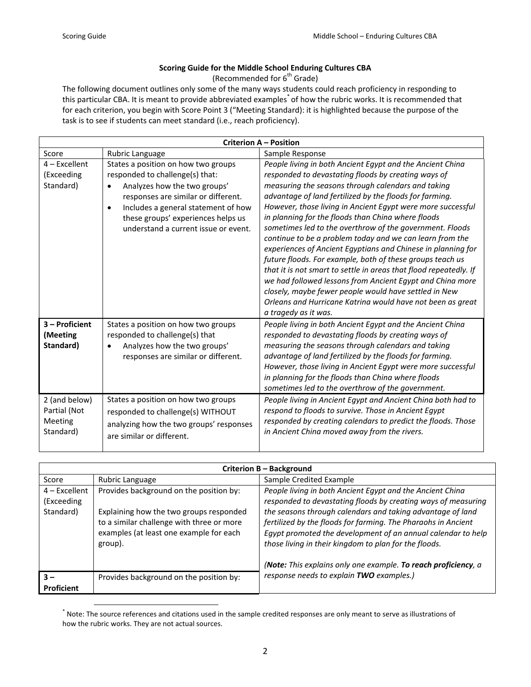## **Scoring Guide for the Middle School Enduring Cultures CBA**

(Recommended for  $6<sup>th</sup>$  Grade)

The following document outlines only some of the many ways students could reach proficiency in responding to this particular CBA. It is meant to provide abbreviated examples<sup>\*</sup> of how the rubric works. It is recommended that for each criterion, you begin with Score Point 3 ("Meeting Standard): it is highlighted because the purpose of the task is to see if students can meet standard (i.e., reach proficiency).

| <b>Criterion A - Position</b>                         |                                                                                                                                                                                                                                                                                              |                                                                                                                                                                                                                                                                                                                                                                                                                                                                                                                                                                                                                                                                                                                                                                                                                                                                                              |
|-------------------------------------------------------|----------------------------------------------------------------------------------------------------------------------------------------------------------------------------------------------------------------------------------------------------------------------------------------------|----------------------------------------------------------------------------------------------------------------------------------------------------------------------------------------------------------------------------------------------------------------------------------------------------------------------------------------------------------------------------------------------------------------------------------------------------------------------------------------------------------------------------------------------------------------------------------------------------------------------------------------------------------------------------------------------------------------------------------------------------------------------------------------------------------------------------------------------------------------------------------------------|
| Score                                                 | Rubric Language                                                                                                                                                                                                                                                                              | Sample Response                                                                                                                                                                                                                                                                                                                                                                                                                                                                                                                                                                                                                                                                                                                                                                                                                                                                              |
| $4$ – Excellent<br>(Exceeding<br>Standard)            | States a position on how two groups<br>responded to challenge(s) that:<br>Analyzes how the two groups'<br>$\bullet$<br>responses are similar or different.<br>Includes a general statement of how<br>$\bullet$<br>these groups' experiences helps us<br>understand a current issue or event. | People living in both Ancient Egypt and the Ancient China<br>responded to devastating floods by creating ways of<br>measuring the seasons through calendars and taking<br>advantage of land fertilized by the floods for farming.<br>However, those living in Ancient Egypt were more successful<br>in planning for the floods than China where floods<br>sometimes led to the overthrow of the government. Floods<br>continue to be a problem today and we can learn from the<br>experiences of Ancient Egyptians and Chinese in planning for<br>future floods. For example, both of these groups teach us<br>that it is not smart to settle in areas that flood repeatedly. If<br>we had followed lessons from Ancient Egypt and China more<br>closely, maybe fewer people would have settled in New<br>Orleans and Hurricane Katrina would have not been as great<br>a tragedy as it was. |
| 3 - Proficient<br>(Meeting<br>Standard)               | States a position on how two groups<br>responded to challenge(s) that<br>Analyzes how the two groups'<br>responses are similar or different.                                                                                                                                                 | People living in both Ancient Egypt and the Ancient China<br>responded to devastating floods by creating ways of<br>measuring the seasons through calendars and taking<br>advantage of land fertilized by the floods for farming.<br>However, those living in Ancient Egypt were more successful<br>in planning for the floods than China where floods<br>sometimes led to the overthrow of the government.                                                                                                                                                                                                                                                                                                                                                                                                                                                                                  |
| 2 (and below)<br>Partial (Not<br>Meeting<br>Standard) | States a position on how two groups<br>responded to challenge(s) WITHOUT<br>analyzing how the two groups' responses<br>are similar or different.                                                                                                                                             | People living in Ancient Egypt and Ancient China both had to<br>respond to floods to survive. Those in Ancient Egypt<br>responded by creating calendars to predict the floods. Those<br>in Ancient China moved away from the rivers.                                                                                                                                                                                                                                                                                                                                                                                                                                                                                                                                                                                                                                                         |

| Criterion B - Background                   |                                                                                                                                                                                       |                                                                                                                                                                                                                                                                                                                                                                                    |
|--------------------------------------------|---------------------------------------------------------------------------------------------------------------------------------------------------------------------------------------|------------------------------------------------------------------------------------------------------------------------------------------------------------------------------------------------------------------------------------------------------------------------------------------------------------------------------------------------------------------------------------|
| Score                                      | Rubric Language                                                                                                                                                                       | Sample Credited Example                                                                                                                                                                                                                                                                                                                                                            |
| $4$ – Excellent<br>(Exceeding<br>Standard) | Provides background on the position by:<br>Explaining how the two groups responded<br>to a similar challenge with three or more<br>examples (at least one example for each<br>group). | People living in both Ancient Egypt and the Ancient China<br>responded to devastating floods by creating ways of measuring<br>the seasons through calendars and taking advantage of land<br>fertilized by the floods for farming. The Pharaohs in Ancient<br>Egypt promoted the development of an annual calendar to help<br>those living in their kingdom to plan for the floods. |
| $3 -$<br><b>Proficient</b>                 | Provides background on the position by:                                                                                                                                               | (Note: This explains only one example. To reach proficiency, a<br>response needs to explain TWO examples.)                                                                                                                                                                                                                                                                         |

 \* Note: The source references and citations used in the sample credited responses are only meant to serve as illustrations of how the rubric works. They are not actual sources.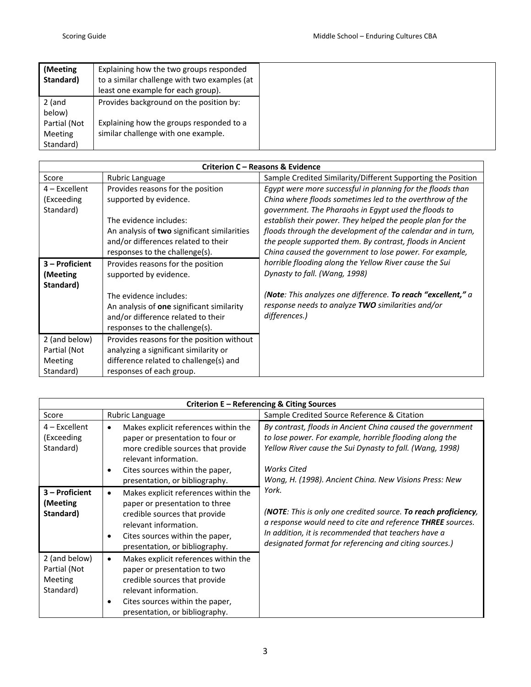| (Meeting<br>Standard)                                 | Explaining how the two groups responded<br>to a similar challenge with two examples (at<br>least one example for each group). |
|-------------------------------------------------------|-------------------------------------------------------------------------------------------------------------------------------|
| 2 (and                                                | Provides background on the position by:                                                                                       |
| below)<br>Partial (Not<br><b>Meeting</b><br>Standard) | Explaining how the groups responded to a<br>similar challenge with one example.                                               |

| Criterion C - Reasons & Evidence                             |                                                                                                                                                                                                                   |                                                                                                                                                                                                                                                   |  |
|--------------------------------------------------------------|-------------------------------------------------------------------------------------------------------------------------------------------------------------------------------------------------------------------|---------------------------------------------------------------------------------------------------------------------------------------------------------------------------------------------------------------------------------------------------|--|
| Score                                                        | Rubric Language                                                                                                                                                                                                   | Sample Credited Similarity/Different Supporting the Position                                                                                                                                                                                      |  |
| $4$ – Excellent<br>(Exceeding                                | Provides reasons for the position<br>supported by evidence.                                                                                                                                                       | Egypt were more successful in planning for the floods than<br>China where floods sometimes led to the overthrow of the<br>government. The Pharaohs in Egypt used the floods to                                                                    |  |
| Standard)                                                    | The evidence includes:<br>An analysis of two significant similarities<br>and/or differences related to their<br>responses to the challenge(s).                                                                    | establish their power. They helped the people plan for the<br>floods through the development of the calendar and in turn,<br>the people supported them. By contrast, floods in Ancient<br>China caused the government to lose power. For example, |  |
| 3 – Proficient<br>(Meeting<br>Standard)                      | Provides reasons for the position<br>supported by evidence.<br>The evidence includes:<br>An analysis of <b>one</b> significant similarity<br>and/or difference related to their<br>responses to the challenge(s). | horrible flooding along the Yellow River cause the Sui<br>Dynasty to fall. (Wang, 1998)<br>(Note: This analyzes one difference. To reach "excellent," a<br>response needs to analyze TWO similarities and/or<br>differences.)                     |  |
| 2 (and below)<br>Partial (Not<br><b>Meeting</b><br>Standard) | Provides reasons for the position without<br>analyzing a significant similarity or<br>difference related to challenge(s) and<br>responses of each group.                                                          |                                                                                                                                                                                                                                                   |  |

| Criterion E - Referencing & Citing Sources            |                                                                                                                                                                                                                                        |                                                                                                                                                                                                                                                                   |  |
|-------------------------------------------------------|----------------------------------------------------------------------------------------------------------------------------------------------------------------------------------------------------------------------------------------|-------------------------------------------------------------------------------------------------------------------------------------------------------------------------------------------------------------------------------------------------------------------|--|
| Score                                                 | Rubric Language                                                                                                                                                                                                                        | Sample Credited Source Reference & Citation                                                                                                                                                                                                                       |  |
| $4$ – Excellent<br>(Exceeding<br>Standard)            | Makes explicit references within the<br>$\bullet$<br>paper or presentation to four or<br>more credible sources that provide<br>relevant information.<br>Cites sources within the paper,<br>$\bullet$<br>presentation, or bibliography. | By contrast, floods in Ancient China caused the government<br>to lose power. For example, horrible flooding along the<br>Yellow River cause the Sui Dynasty to fall. (Wang, 1998)<br><b>Works Cited</b><br>Wong, H. (1998). Ancient China. New Visions Press: New |  |
| 3 - Proficient<br>(Meeting<br>Standard)               | Makes explicit references within the<br>$\bullet$<br>paper or presentation to three<br>credible sources that provide<br>relevant information.<br>Cites sources within the paper,<br>presentation, or bibliography.                     | York.<br>(NOTE: This is only one credited source. To reach proficiency,<br>a response would need to cite and reference THREE sources.<br>In addition, it is recommended that teachers have a<br>designated format for referencing and citing sources.)            |  |
| 2 (and below)<br>Partial (Not<br>Meeting<br>Standard) | Makes explicit references within the<br>$\bullet$<br>paper or presentation to two<br>credible sources that provide<br>relevant information.<br>Cites sources within the paper,<br>$\bullet$<br>presentation, or bibliography.          |                                                                                                                                                                                                                                                                   |  |